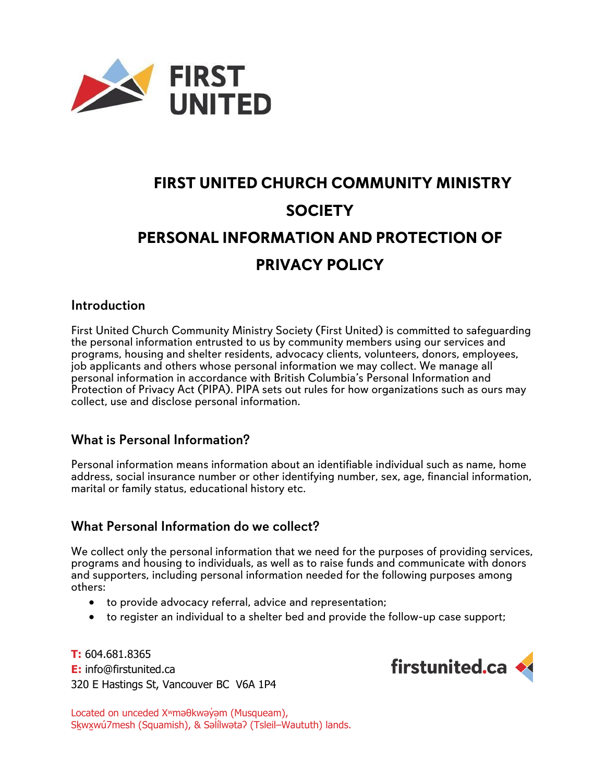

# **FIRST UNITED CHURCH COMMUNITY MINISTRY SOCIETY PERSONAL INFORMATION AND PROTECTION OF PRIVACY POLICY**

### Introduction

First United Church Community Ministry Society (First United) is committed to safeguarding the personal information entrusted to us by community members using our services and programs, housing and shelter residents, advocacy clients, volunteers, donors, employees, job applicants and others whose personal information we may collect. We manage all personal information in accordance with British Columbia's Personal Information and Protection of Privacy Act (PIPA). PIPA sets out rules for how organizations such as ours may collect, use and disclose personal information.

### What is Personal Information?

Personal information means information about an identifiable individual such as name, home address, social insurance number or other identifying number, sex, age, financial information, marital or family status, educational history etc.

## What Personal Information do we collect?

We collect only the personal information that we need for the purposes of providing services, programs and housing to individuals, as well as to raise funds and communicate with donors and supporters, including personal information needed for the following purposes among others:

- to provide advocacy referral, advice and representation;
- to register an individual to a shelter bed and provide the follow-up case support;

**T:** 604.681.8365 **E:** info@firstunited.ca 320 E Hastings St, Vancouver BC V6A 1P4



Located on unceded X<sup>w</sup>məθkwəy̓ əm (Musqueam), Sḵwx̱wú7mesh (Squamish), & Səl ílwətaʔ (Tsleil–Waututh) lands. ̓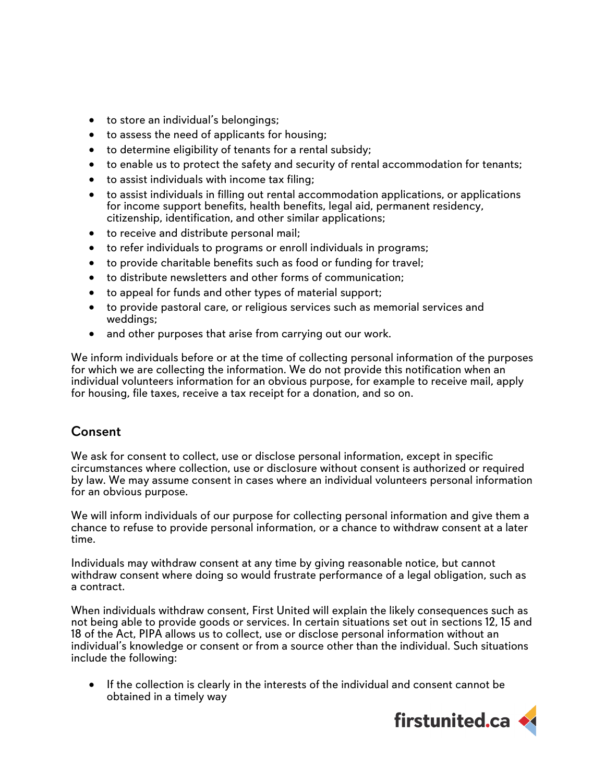- to store an individual's belongings;
- to assess the need of applicants for housing;
- to determine eligibility of tenants for a rental subsidy;
- to enable us to protect the safety and security of rental accommodation for tenants;
- to assist individuals with income tax filing;
- to assist individuals in filling out rental accommodation applications, or applications for income support benefits, health benefits, legal aid, permanent residency, citizenship, identification, and other similar applications;
- to receive and distribute personal mail;
- to refer individuals to programs or enroll individuals in programs;
- to provide charitable benefits such as food or funding for travel;
- to distribute newsletters and other forms of communication;
- to appeal for funds and other types of material support;
- to provide pastoral care, or religious services such as memorial services and weddings;
- and other purposes that arise from carrying out our work.

We inform individuals before or at the time of collecting personal information of the purposes for which we are collecting the information. We do not provide this notification when an individual volunteers information for an obvious purpose, for example to receive mail, apply for housing, file taxes, receive a tax receipt for a donation, and so on.

## Consent

We ask for consent to collect, use or disclose personal information, except in specific circumstances where collection, use or disclosure without consent is authorized or required by law. We may assume consent in cases where an individual volunteers personal information for an obvious purpose.

We will inform individuals of our purpose for collecting personal information and give them a chance to refuse to provide personal information, or a chance to withdraw consent at a later time.

Individuals may withdraw consent at any time by giving reasonable notice, but cannot withdraw consent where doing so would frustrate performance of a legal obligation, such as a contract.

When individuals withdraw consent, First United will explain the likely consequences such as not being able to provide goods or services. In certain situations set out in sections 12, 15 and 18 of the Act, PIPA allows us to collect, use or disclose personal information without an individual's knowledge or consent or from a source other than the individual. Such situations include the following:

• If the collection is clearly in the interests of the individual and consent cannot be obtained in a timely way

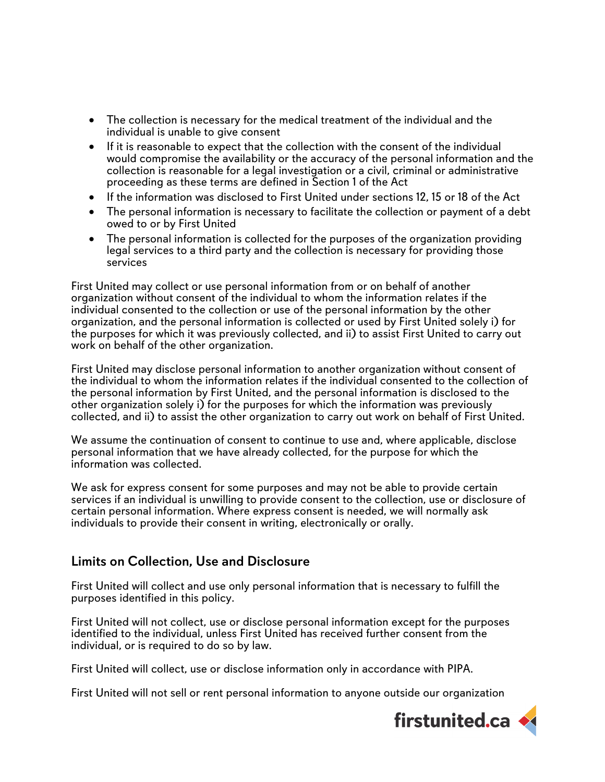- The collection is necessary for the medical treatment of the individual and the individual is unable to give consent
- If it is reasonable to expect that the collection with the consent of the individual would compromise the availability or the accuracy of the personal information and the collection is reasonable for a legal investigation or a civil, criminal or administrative proceeding as these terms are defined in Section 1 of the Act
- If the information was disclosed to First United under sections 12, 15 or 18 of the Act
- The personal information is necessary to facilitate the collection or payment of a debt owed to or by First United
- The personal information is collected for the purposes of the organization providing legal services to a third party and the collection is necessary for providing those services

First United may collect or use personal information from or on behalf of another organization without consent of the individual to whom the information relates if the individual consented to the collection or use of the personal information by the other organization, and the personal information is collected or used by First United solely i) for the purposes for which it was previously collected, and ii) to assist First United to carry out work on behalf of the other organization.

First United may disclose personal information to another organization without consent of the individual to whom the information relates if the individual consented to the collection of the personal information by First United, and the personal information is disclosed to the other organization solely i) for the purposes for which the information was previously collected, and ii) to assist the other organization to carry out work on behalf of First United.

We assume the continuation of consent to continue to use and, where applicable, disclose personal information that we have already collected, for the purpose for which the information was collected.

We ask for express consent for some purposes and may not be able to provide certain services if an individual is unwilling to provide consent to the collection, use or disclosure of certain personal information. Where express consent is needed, we will normally ask individuals to provide their consent in writing, electronically or orally.

## Limits on Collection, Use and Disclosure

First United will collect and use only personal information that is necessary to fulfill the purposes identified in this policy.

First United will not collect, use or disclose personal information except for the purposes identified to the individual, unless First United has received further consent from the individual, or is required to do so by law.

First United will collect, use or disclose information only in accordance with PIPA.

First United will not sell or rent personal information to anyone outside our organization

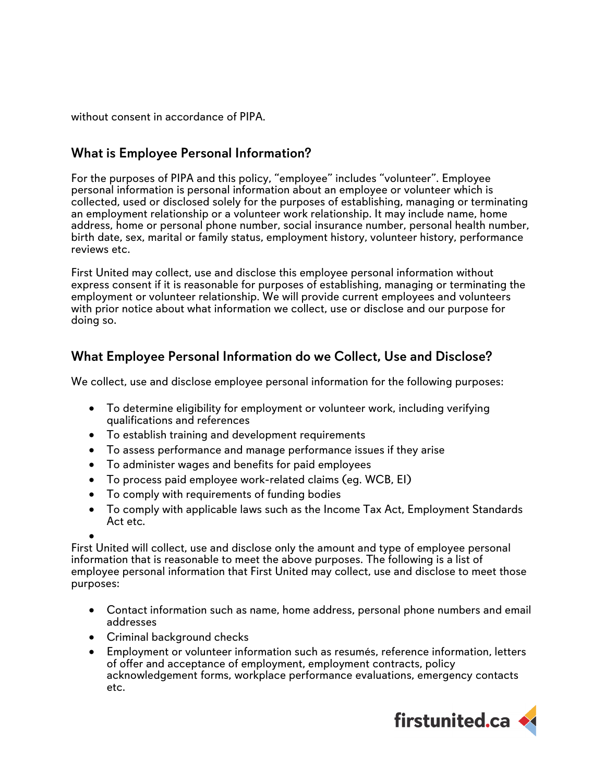without consent in accordance of PIPA.

# What is Employee Personal Information?

For the purposes of PIPA and this policy, "employee" includes "volunteer". Employee personal information is personal information about an employee or volunteer which is collected, used or disclosed solely for the purposes of establishing, managing or terminating an employment relationship or a volunteer work relationship. It may include name, home address, home or personal phone number, social insurance number, personal health number, birth date, sex, marital or family status, employment history, volunteer history, performance reviews etc.

First United may collect, use and disclose this employee personal information without express consent if it is reasonable for purposes of establishing, managing or terminating the employment or volunteer relationship. We will provide current employees and volunteers with prior notice about what information we collect, use or disclose and our purpose for doing so.

# What Employee Personal Information do we Collect, Use and Disclose?

We collect, use and disclose employee personal information for the following purposes:

- To determine eligibility for employment or volunteer work, including verifying qualifications and references
- To establish training and development requirements
- To assess performance and manage performance issues if they arise
- To administer wages and benefits for paid employees
- To process paid employee work-related claims (eg. WCB, EI)
- To comply with requirements of funding bodies
- To comply with applicable laws such as the Income Tax Act, Employment Standards Act etc.

• First United will collect, use and disclose only the amount and type of employee personal information that is reasonable to meet the above purposes. The following is a list of employee personal information that First United may collect, use and disclose to meet those purposes:

- Contact information such as name, home address, personal phone numbers and email addresses
- Criminal background checks
- Employment or volunteer information such as resumés, reference information, letters of offer and acceptance of employment, employment contracts, policy acknowledgement forms, workplace performance evaluations, emergency contacts etc.

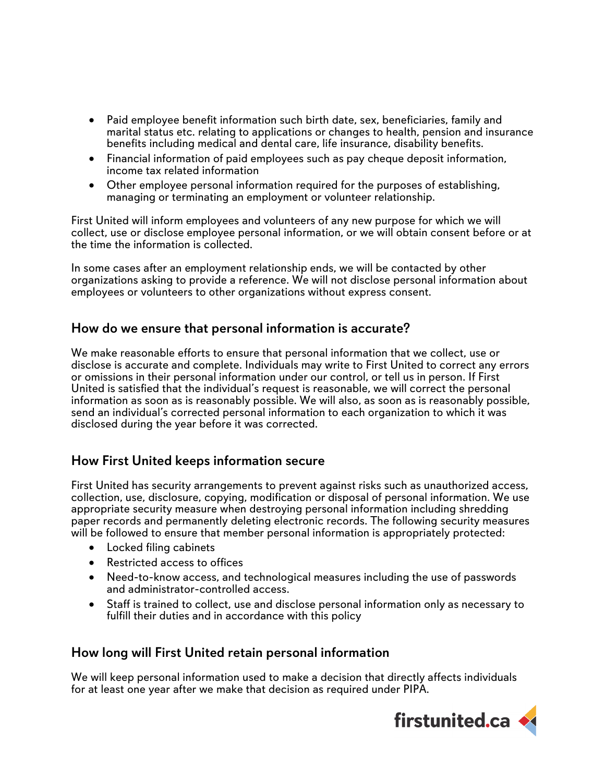- Paid employee benefit information such birth date, sex, beneficiaries, family and marital status etc. relating to applications or changes to health, pension and insurance benefits including medical and dental care, life insurance, disability benefits.
- Financial information of paid employees such as pay cheque deposit information, income tax related information
- Other employee personal information required for the purposes of establishing, managing or terminating an employment or volunteer relationship.

First United will inform employees and volunteers of any new purpose for which we will collect, use or disclose employee personal information, or we will obtain consent before or at the time the information is collected.

In some cases after an employment relationship ends, we will be contacted by other organizations asking to provide a reference. We will not disclose personal information about employees or volunteers to other organizations without express consent.

## How do we ensure that personal information is accurate?

We make reasonable efforts to ensure that personal information that we collect, use or disclose is accurate and complete. Individuals may write to First United to correct any errors or omissions in their personal information under our control, or tell us in person. If First United is satisfied that the individual's request is reasonable, we will correct the personal information as soon as is reasonably possible. We will also, as soon as is reasonably possible, send an individual's corrected personal information to each organization to which it was disclosed during the year before it was corrected.

## How First United keeps information secure

First United has security arrangements to prevent against risks such as unauthorized access, collection, use, disclosure, copying, modification or disposal of personal information. We use appropriate security measure when destroying personal information including shredding paper records and permanently deleting electronic records. The following security measures will be followed to ensure that member personal information is appropriately protected:

- Locked filing cabinets
- Restricted access to offices
- Need-to-know access, and technological measures including the use of passwords and administrator-controlled access.
- Staff is trained to collect, use and disclose personal information only as necessary to fulfill their duties and in accordance with this policy

### How long will First United retain personal information

We will keep personal information used to make a decision that directly affects individuals for at least one year after we make that decision as required under PIPA.

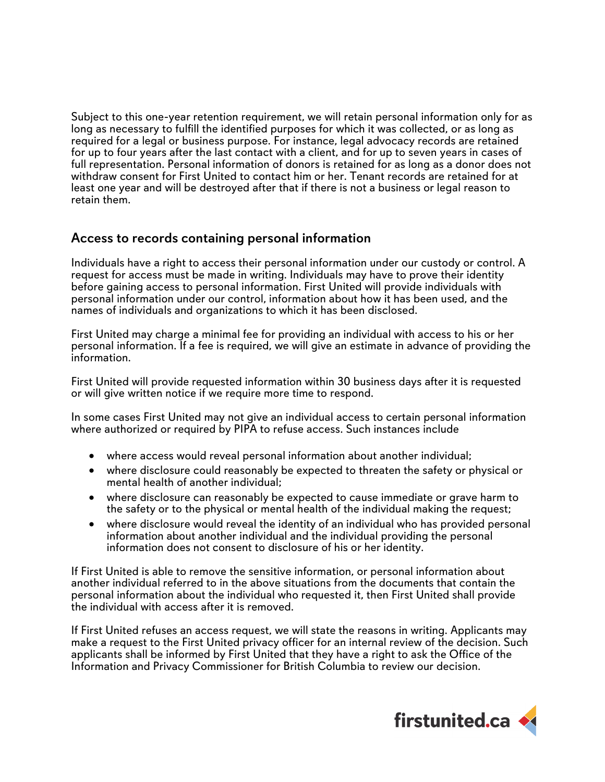Subject to this one-year retention requirement, we will retain personal information only for as long as necessary to fulfill the identified purposes for which it was collected, or as long as required for a legal or business purpose. For instance, legal advocacy records are retained for up to four years after the last contact with a client, and for up to seven years in cases of full representation. Personal information of donors is retained for as long as a donor does not withdraw consent for First United to contact him or her. Tenant records are retained for at least one year and will be destroyed after that if there is not a business or legal reason to retain them.

## Access to records containing personal information

Individuals have a right to access their personal information under our custody or control. A request for access must be made in writing. Individuals may have to prove their identity before gaining access to personal information. First United will provide individuals with personal information under our control, information about how it has been used, and the names of individuals and organizations to which it has been disclosed.

First United may charge a minimal fee for providing an individual with access to his or her personal information. If a fee is required, we will give an estimate in advance of providing the information.

First United will provide requested information within 30 business days after it is requested or will give written notice if we require more time to respond.

In some cases First United may not give an individual access to certain personal information where authorized or required by PIPA to refuse access. Such instances include

- where access would reveal personal information about another individual;
- where disclosure could reasonably be expected to threaten the safety or physical or mental health of another individual;
- where disclosure can reasonably be expected to cause immediate or grave harm to the safety or to the physical or mental health of the individual making the request;
- where disclosure would reveal the identity of an individual who has provided personal information about another individual and the individual providing the personal information does not consent to disclosure of his or her identity.

If First United is able to remove the sensitive information, or personal information about another individual referred to in the above situations from the documents that contain the personal information about the individual who requested it, then First United shall provide the individual with access after it is removed.

If First United refuses an access request, we will state the reasons in writing. Applicants may make a request to the First United privacy officer for an internal review of the decision. Such applicants shall be informed by First United that they have a right to ask the Office of the Information and Privacy Commissioner for British Columbia to review our decision.